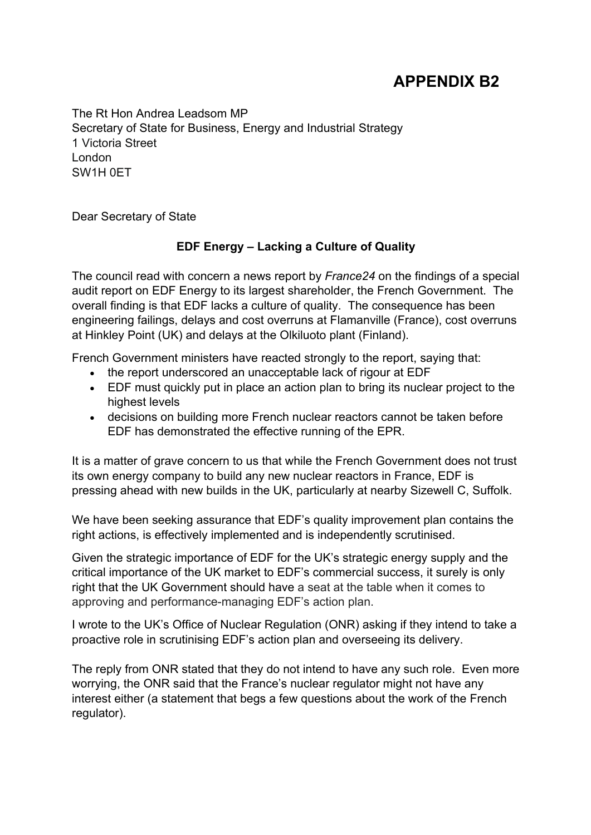## **APPENDIX B2**

The Rt Hon Andrea Leadsom MP Secretary of State for Business, Energy and Industrial Strategy 1 Victoria Street London SW1H 0ET

Dear Secretary of State

## **EDF Energy – Lacking a Culture of Quality**

The council read with concern a news report by *France24* on the findings of a special audit report on EDF Energy to its largest shareholder, the French Government. The overall finding is that EDF lacks a culture of quality. The consequence has been engineering failings, delays and cost overruns at Flamanville (France), cost overruns at Hinkley Point (UK) and delays at the Olkiluoto plant (Finland).

French Government ministers have reacted strongly to the report, saying that:

- the report underscored an unacceptable lack of rigour at EDF
- EDF must quickly put in place an action plan to bring its nuclear project to the highest levels
- decisions on building more French nuclear reactors cannot be taken before EDF has demonstrated the effective running of the EPR.

It is a matter of grave concern to us that while the French Government does not trust its own energy company to build any new nuclear reactors in France, EDF is pressing ahead with new builds in the UK, particularly at nearby Sizewell C, Suffolk.

We have been seeking assurance that EDF's quality improvement plan contains the right actions, is effectively implemented and is independently scrutinised.

Given the strategic importance of EDF for the UK's strategic energy supply and the critical importance of the UK market to EDF's commercial success, it surely is only right that the UK Government should have a seat at the table when it comes to approving and performance-managing EDF's action plan.

I wrote to the UK's Office of Nuclear Regulation (ONR) asking if they intend to take a proactive role in scrutinising EDF's action plan and overseeing its delivery.

The reply from ONR stated that they do not intend to have any such role. Even more worrying, the ONR said that the France's nuclear regulator might not have any interest either (a statement that begs a few questions about the work of the French regulator).